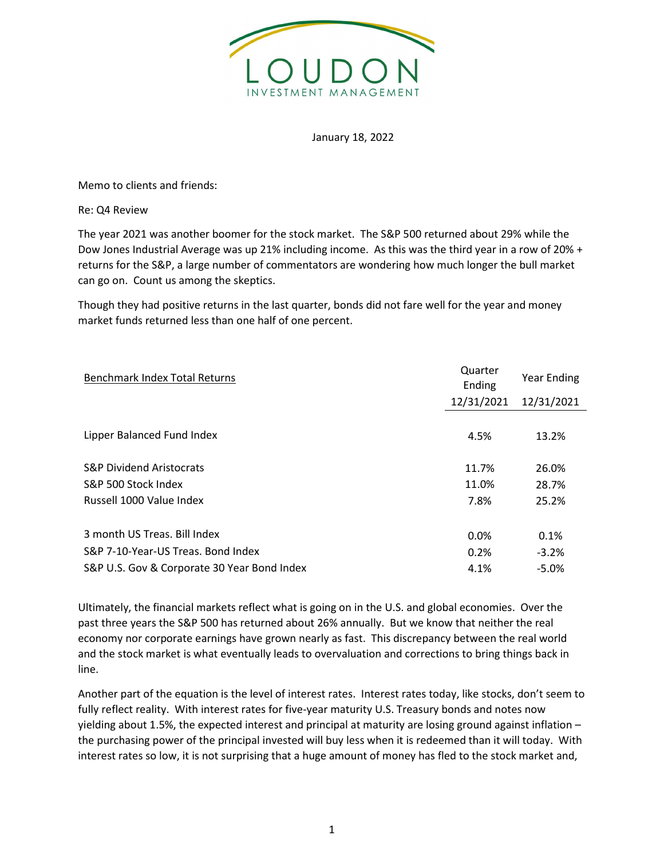

## January 18, 2022

Memo to clients and friends:

Re: Q4 Review

The year 2021 was another boomer for the stock market. The S&P 500 returned about 29% while the Dow Jones Industrial Average was up 21% including income. As this was the third year in a row of 20% + returns for the S&P, a large number of commentators are wondering how much longer the bull market can go on. Count us among the skeptics.

Though they had positive returns in the last quarter, bonds did not fare well for the year and money market funds returned less than one half of one percent.

| <b>Benchmark Index Total Returns</b>        | Quarter<br>Ending | Year Ending |
|---------------------------------------------|-------------------|-------------|
|                                             | 12/31/2021        | 12/31/2021  |
|                                             |                   |             |
| Lipper Balanced Fund Index                  | 4.5%              | 13.2%       |
|                                             |                   |             |
| <b>S&amp;P Dividend Aristocrats</b>         | 11.7%             | 26.0%       |
| S&P 500 Stock Index                         | 11.0%             | 28.7%       |
| Russell 1000 Value Index                    | 7.8%              | 25.2%       |
|                                             |                   |             |
| 3 month US Treas, Bill Index                | 0.0%              | 0.1%        |
| S&P 7-10-Year-US Treas. Bond Index          | 0.2%              | $-3.2%$     |
| S&P U.S. Gov & Corporate 30 Year Bond Index | 4.1%              | $-5.0%$     |

Ultimately, the financial markets reflect what is going on in the U.S. and global economies. Over the past three years the S&P 500 has returned about 26% annually. But we know that neither the real economy nor corporate earnings have grown nearly as fast. This discrepancy between the real world and the stock market is what eventually leads to overvaluation and corrections to bring things back in line.

Another part of the equation is the level of interest rates. Interest rates today, like stocks, don't seem to fully reflect reality. With interest rates for five-year maturity U.S. Treasury bonds and notes now yielding about 1.5%, the expected interest and principal at maturity are losing ground against inflation – the purchasing power of the principal invested will buy less when it is redeemed than it will today. With interest rates so low, it is not surprising that a huge amount of money has fled to the stock market and,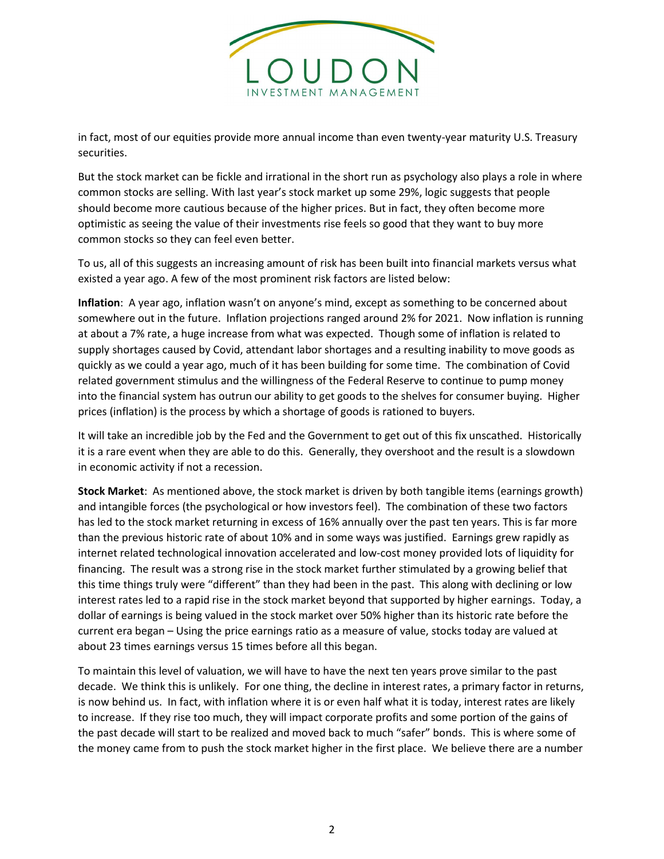

in fact, most of our equities provide more annual income than even twenty-year maturity U.S. Treasury securities.

But the stock market can be fickle and irrational in the short run as psychology also plays a role in where common stocks are selling. With last year's stock market up some 29%, logic suggests that people should become more cautious because of the higher prices. But in fact, they often become more optimistic as seeing the value of their investments rise feels so good that they want to buy more common stocks so they can feel even better.

To us, all of this suggests an increasing amount of risk has been built into financial markets versus what existed a year ago. A few of the most prominent risk factors are listed below:

Inflation: A year ago, inflation wasn't on anyone's mind, except as something to be concerned about somewhere out in the future. Inflation projections ranged around 2% for 2021. Now inflation is running at about a 7% rate, a huge increase from what was expected. Though some of inflation is related to supply shortages caused by Covid, attendant labor shortages and a resulting inability to move goods as quickly as we could a year ago, much of it has been building for some time. The combination of Covid related government stimulus and the willingness of the Federal Reserve to continue to pump money into the financial system has outrun our ability to get goods to the shelves for consumer buying. Higher prices (inflation) is the process by which a shortage of goods is rationed to buyers.

It will take an incredible job by the Fed and the Government to get out of this fix unscathed. Historically it is a rare event when they are able to do this. Generally, they overshoot and the result is a slowdown in economic activity if not a recession.

Stock Market: As mentioned above, the stock market is driven by both tangible items (earnings growth) and intangible forces (the psychological or how investors feel). The combination of these two factors has led to the stock market returning in excess of 16% annually over the past ten years. This is far more than the previous historic rate of about 10% and in some ways was justified. Earnings grew rapidly as internet related technological innovation accelerated and low-cost money provided lots of liquidity for financing. The result was a strong rise in the stock market further stimulated by a growing belief that this time things truly were "different" than they had been in the past. This along with declining or low interest rates led to a rapid rise in the stock market beyond that supported by higher earnings. Today, a dollar of earnings is being valued in the stock market over 50% higher than its historic rate before the current era began – Using the price earnings ratio as a measure of value, stocks today are valued at about 23 times earnings versus 15 times before all this began.

To maintain this level of valuation, we will have to have the next ten years prove similar to the past decade. We think this is unlikely. For one thing, the decline in interest rates, a primary factor in returns, is now behind us. In fact, with inflation where it is or even half what it is today, interest rates are likely to increase. If they rise too much, they will impact corporate profits and some portion of the gains of the past decade will start to be realized and moved back to much "safer" bonds. This is where some of the money came from to push the stock market higher in the first place. We believe there are a number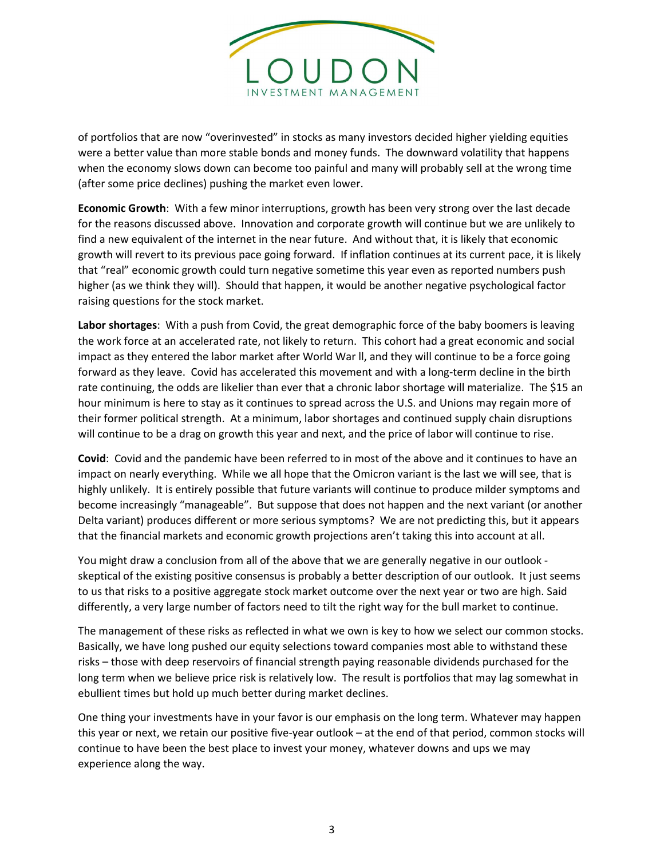

of portfolios that are now "overinvested" in stocks as many investors decided higher yielding equities were a better value than more stable bonds and money funds. The downward volatility that happens when the economy slows down can become too painful and many will probably sell at the wrong time (after some price declines) pushing the market even lower.

Economic Growth: With a few minor interruptions, growth has been very strong over the last decade for the reasons discussed above. Innovation and corporate growth will continue but we are unlikely to find a new equivalent of the internet in the near future. And without that, it is likely that economic growth will revert to its previous pace going forward. If inflation continues at its current pace, it is likely that "real" economic growth could turn negative sometime this year even as reported numbers push higher (as we think they will). Should that happen, it would be another negative psychological factor raising questions for the stock market.

Labor shortages: With a push from Covid, the great demographic force of the baby boomers is leaving the work force at an accelerated rate, not likely to return. This cohort had a great economic and social impact as they entered the labor market after World War ll, and they will continue to be a force going forward as they leave. Covid has accelerated this movement and with a long-term decline in the birth rate continuing, the odds are likelier than ever that a chronic labor shortage will materialize. The \$15 an hour minimum is here to stay as it continues to spread across the U.S. and Unions may regain more of their former political strength. At a minimum, labor shortages and continued supply chain disruptions will continue to be a drag on growth this year and next, and the price of labor will continue to rise.

Covid: Covid and the pandemic have been referred to in most of the above and it continues to have an impact on nearly everything. While we all hope that the Omicron variant is the last we will see, that is highly unlikely. It is entirely possible that future variants will continue to produce milder symptoms and become increasingly "manageable". But suppose that does not happen and the next variant (or another Delta variant) produces different or more serious symptoms? We are not predicting this, but it appears that the financial markets and economic growth projections aren't taking this into account at all.

You might draw a conclusion from all of the above that we are generally negative in our outlook skeptical of the existing positive consensus is probably a better description of our outlook. It just seems to us that risks to a positive aggregate stock market outcome over the next year or two are high. Said differently, a very large number of factors need to tilt the right way for the bull market to continue.

The management of these risks as reflected in what we own is key to how we select our common stocks. Basically, we have long pushed our equity selections toward companies most able to withstand these risks – those with deep reservoirs of financial strength paying reasonable dividends purchased for the long term when we believe price risk is relatively low. The result is portfolios that may lag somewhat in ebullient times but hold up much better during market declines.

One thing your investments have in your favor is our emphasis on the long term. Whatever may happen this year or next, we retain our positive five-year outlook – at the end of that period, common stocks will continue to have been the best place to invest your money, whatever downs and ups we may experience along the way.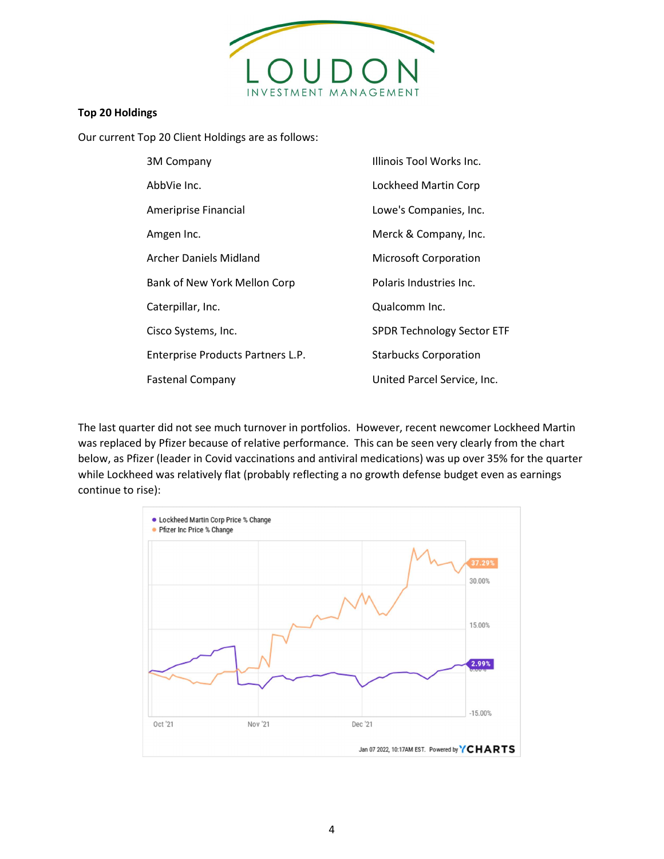

## Top 20 Holdings

Our current Top 20 Client Holdings are as follows:

| 3M Company                        | Illinois Tool Works Inc.          |
|-----------------------------------|-----------------------------------|
| AbbVie Inc.                       | Lockheed Martin Corp              |
| Ameriprise Financial              | Lowe's Companies, Inc.            |
| Amgen Inc.                        | Merck & Company, Inc.             |
| Archer Daniels Midland            | <b>Microsoft Corporation</b>      |
| Bank of New York Mellon Corp      | Polaris Industries Inc.           |
| Caterpillar, Inc.                 | Qualcomm Inc.                     |
| Cisco Systems, Inc.               | <b>SPDR Technology Sector ETF</b> |
| Enterprise Products Partners L.P. | <b>Starbucks Corporation</b>      |
| <b>Fastenal Company</b>           | United Parcel Service, Inc.       |

The last quarter did not see much turnover in portfolios. However, recent newcomer Lockheed Martin was replaced by Pfizer because of relative performance. This can be seen very clearly from the chart below, as Pfizer (leader in Covid vaccinations and antiviral medications) was up over 35% for the quarter while Lockheed was relatively flat (probably reflecting a no growth defense budget even as earnings continue to rise):

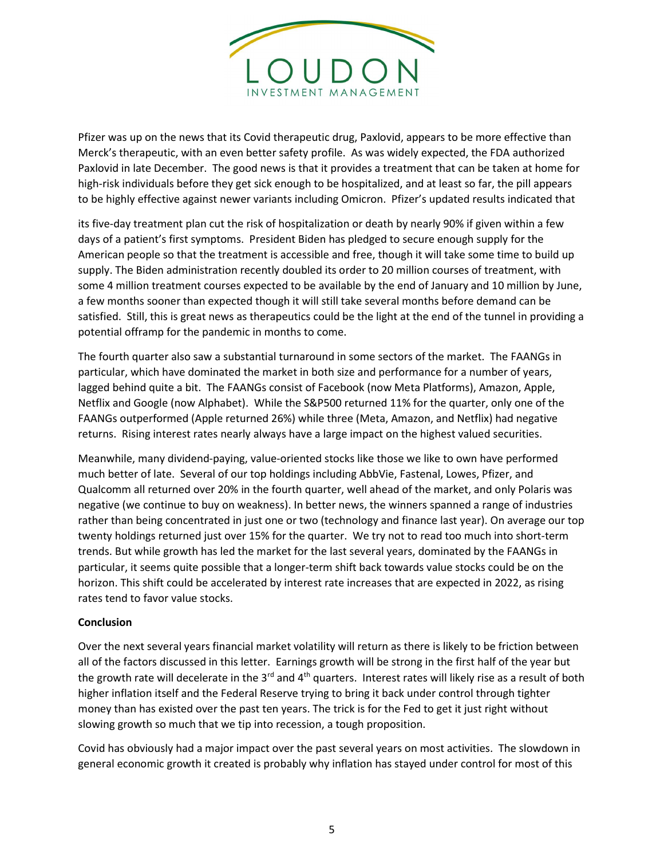

Pfizer was up on the news that its Covid therapeutic drug, Paxlovid, appears to be more effective than Merck's therapeutic, with an even better safety profile. As was widely expected, the FDA authorized Paxlovid in late December. The good news is that it provides a treatment that can be taken at home for high-risk individuals before they get sick enough to be hospitalized, and at least so far, the pill appears to be highly effective against newer variants including Omicron. Pfizer's updated results indicated that

its five-day treatment plan cut the risk of hospitalization or death by nearly 90% if given within a few days of a patient's first symptoms. President Biden has pledged to secure enough supply for the American people so that the treatment is accessible and free, though it will take some time to build up supply. The Biden administration recently doubled its order to 20 million courses of treatment, with some 4 million treatment courses expected to be available by the end of January and 10 million by June, a few months sooner than expected though it will still take several months before demand can be satisfied. Still, this is great news as therapeutics could be the light at the end of the tunnel in providing a potential offramp for the pandemic in months to come.

The fourth quarter also saw a substantial turnaround in some sectors of the market. The FAANGs in particular, which have dominated the market in both size and performance for a number of years, lagged behind quite a bit. The FAANGs consist of Facebook (now Meta Platforms), Amazon, Apple, Netflix and Google (now Alphabet). While the S&P500 returned 11% for the quarter, only one of the FAANGs outperformed (Apple returned 26%) while three (Meta, Amazon, and Netflix) had negative returns. Rising interest rates nearly always have a large impact on the highest valued securities.

Meanwhile, many dividend-paying, value-oriented stocks like those we like to own have performed much better of late. Several of our top holdings including AbbVie, Fastenal, Lowes, Pfizer, and Qualcomm all returned over 20% in the fourth quarter, well ahead of the market, and only Polaris was negative (we continue to buy on weakness). In better news, the winners spanned a range of industries rather than being concentrated in just one or two (technology and finance last year). On average our top twenty holdings returned just over 15% for the quarter. We try not to read too much into short-term trends. But while growth has led the market for the last several years, dominated by the FAANGs in particular, it seems quite possible that a longer-term shift back towards value stocks could be on the horizon. This shift could be accelerated by interest rate increases that are expected in 2022, as rising rates tend to favor value stocks.

## Conclusion

Over the next several years financial market volatility will return as there is likely to be friction between all of the factors discussed in this letter. Earnings growth will be strong in the first half of the year but the growth rate will decelerate in the 3<sup>rd</sup> and 4<sup>th</sup> quarters. Interest rates will likely rise as a result of both higher inflation itself and the Federal Reserve trying to bring it back under control through tighter money than has existed over the past ten years. The trick is for the Fed to get it just right without slowing growth so much that we tip into recession, a tough proposition.

Covid has obviously had a major impact over the past several years on most activities. The slowdown in general economic growth it created is probably why inflation has stayed under control for most of this